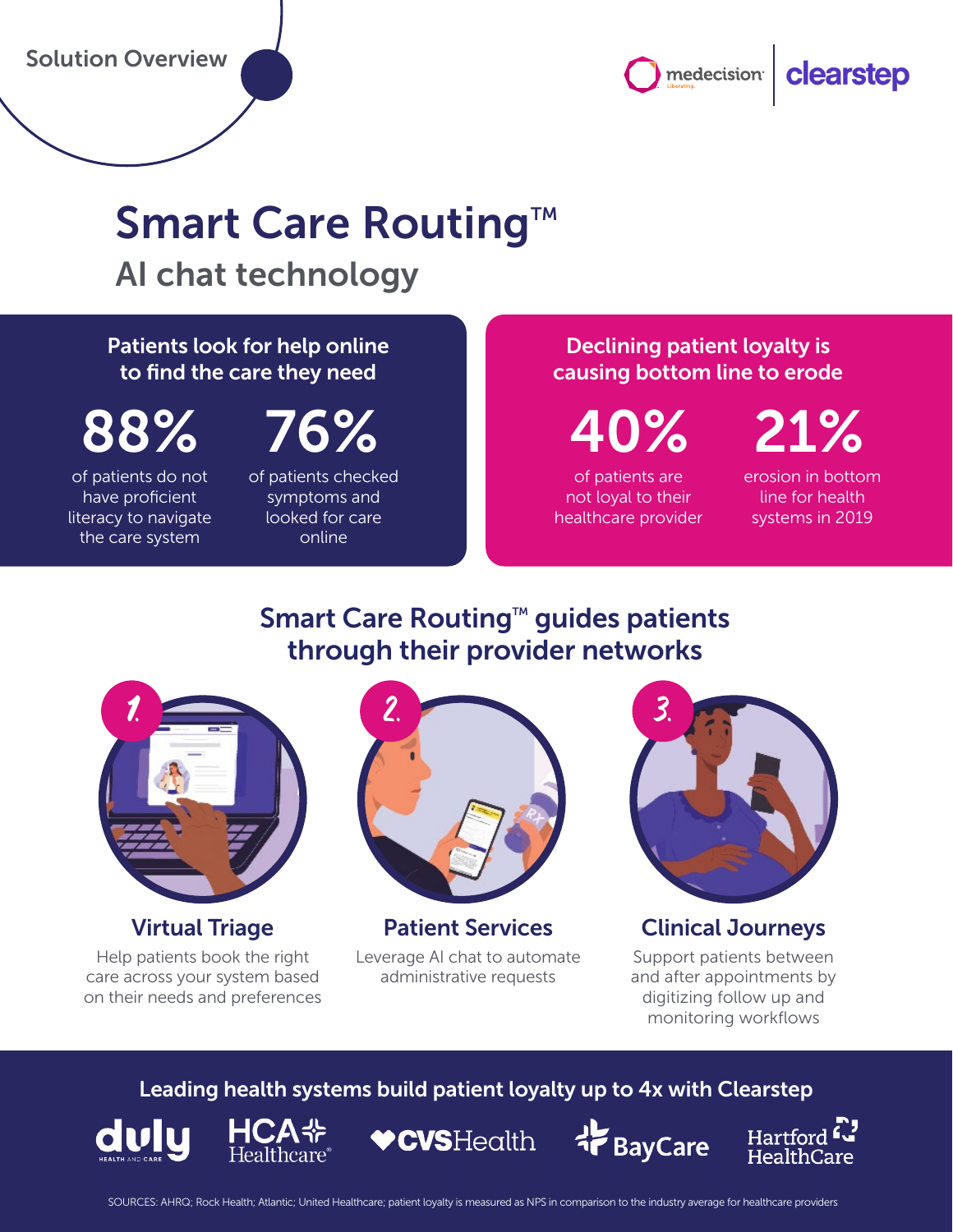medecision | clearstep

# Smart Care Routing™

AI chat technology

### Patients look for help online to find the care they need

of patients do not have proficient literacy to navigate the care system

of patients checked symptoms and looked for care online

### Declining patient loyalty is causing bottom line to erode

of patients are 88% 76% 40% 21%

> not loyal to their healthcare provider

erosion in bottom line for health systems in 2019

## Smart Care Routing™ guides patients through their provider networks



### Virtual Triage

Help patients book the right care across your system based on their needs and preferences



Patient Services Leverage AI chat to automate administrative requests



### Clinical Journeys

Support patients between and after appointments by digitizing follow up and monitoring workflows

### Leading health systems build patient loyalty up to 4x with Clearstep





**VCVSHealth** 



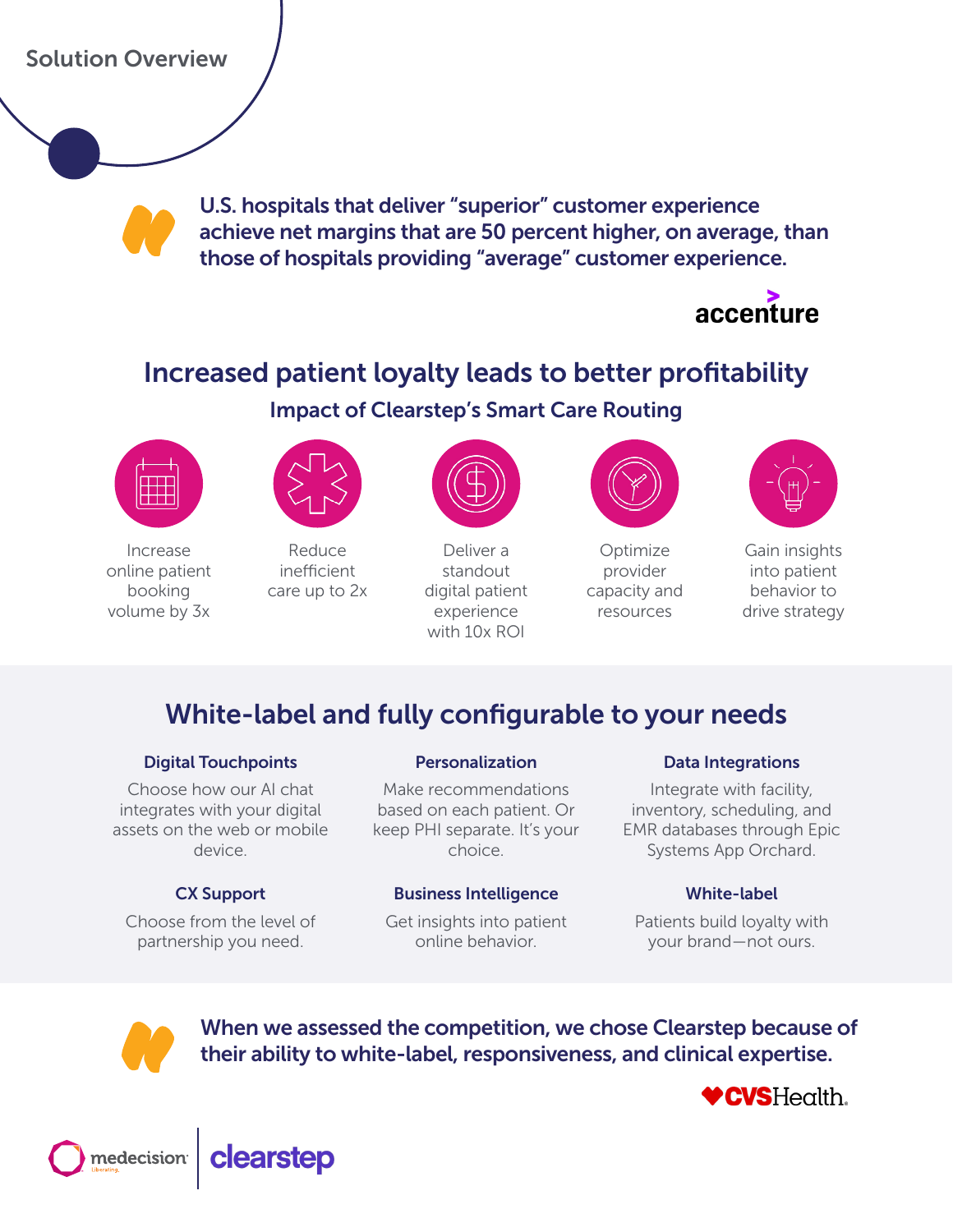### Solution Overview

U.S. hospitals that deliver "superior" customer experience achieve net margins that are 50 percent higher, on average, than those of hospitals providing "average" customer experience.



# Increased patient loyalty leads to better profitability

### Impact of Clearstep's Smart Care Routing



Increase online patient booking volume by 3x



Reduce inefficient care up to 2x



Deliver a standout digital patient experience with 10x ROI



Optimize provider capacity and resources



Gain insights into patient behavior to drive strategy

### White-label and fully configurable to your needs

#### Digital Touchpoints

Choose how our AI chat integrates with your digital assets on the web or mobile device.

#### CX Support

Choose from the level of partnership you need.

#### Personalization

Make recommendations based on each patient. Or keep PHI separate. It's your choice.

#### Business Intelligence

Get insights into patient online behavior.

#### Data Integrations

Integrate with facility, inventory, scheduling, and EMR databases through Epic Systems App Orchard.

#### White-label

Patients build loyalty with your brand—not ours.



When we assessed the competition, we chose Clearstep because of their ability to white-label, responsiveness, and clinical expertise.

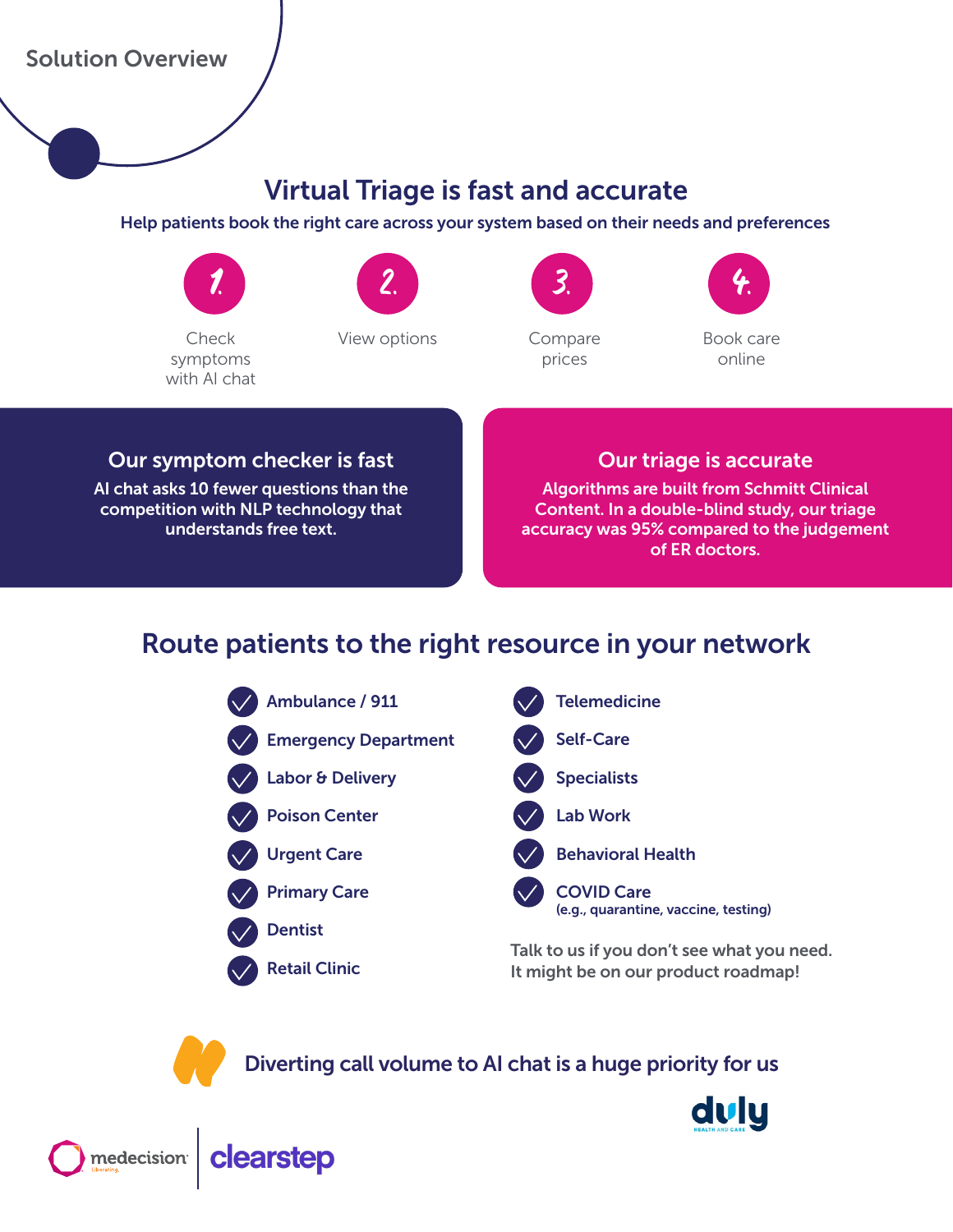### Solution Overview

### Virtual Triage is fast and accurate

#### Help patients book the right care across your system based on their needs and preferences



with AI chat

symptoms



2.

3.

Compare prices



### Our symptom checker is fast

AI chat asks 10 fewer questions than the competition with NLP technology that understands free text.

### Our triage is accurate

Algorithms are built from Schmitt Clinical Content. In a double-blind study, our triage accuracy was 95% compared to the judgement of ER doctors.

### Route patients to the right resource in your network



Talk to us if you don't see what you need. It might be on our product roadmap!

Diverting call volume to AI chat is a huge priority for us